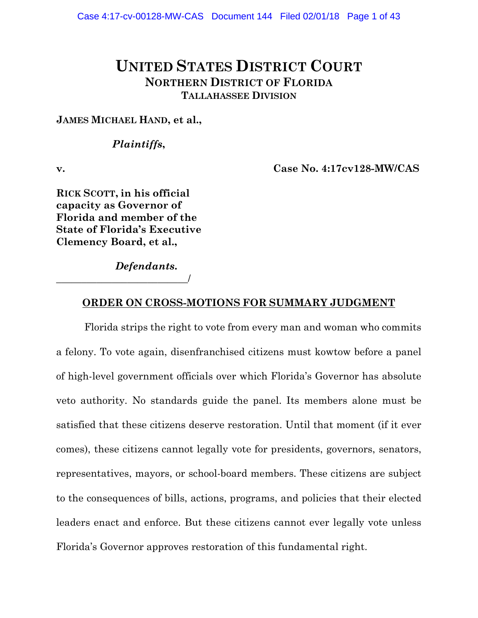# **UNITED STATES DISTRICT COURT NORTHERN DISTRICT OF FLORIDA TALLAHASSEE DIVISION**

**JAMES MICHAEL HAND, et al.,**

# *Plaintiffs***,**

**v. Case No. 4:17cv128-MW/CAS**

**RICK SCOTT, in his official capacity as Governor of Florida and member of the State of Florida's Executive Clemency Board, et al.,**

\_\_\_\_\_\_\_\_\_\_\_\_\_\_\_\_\_\_\_\_\_\_\_\_\_\_/

*Defendants***.**

# **ORDER ON CROSS-MOTIONS FOR SUMMARY JUDGMENT**

Florida strips the right to vote from every man and woman who commits a felony. To vote again, disenfranchised citizens must kowtow before a panel of high-level government officials over which Florida's Governor has absolute veto authority. No standards guide the panel. Its members alone must be satisfied that these citizens deserve restoration. Until that moment (if it ever comes), these citizens cannot legally vote for presidents, governors, senators, representatives, mayors, or school-board members. These citizens are subject to the consequences of bills, actions, programs, and policies that their elected leaders enact and enforce. But these citizens cannot ever legally vote unless Florida's Governor approves restoration of this fundamental right.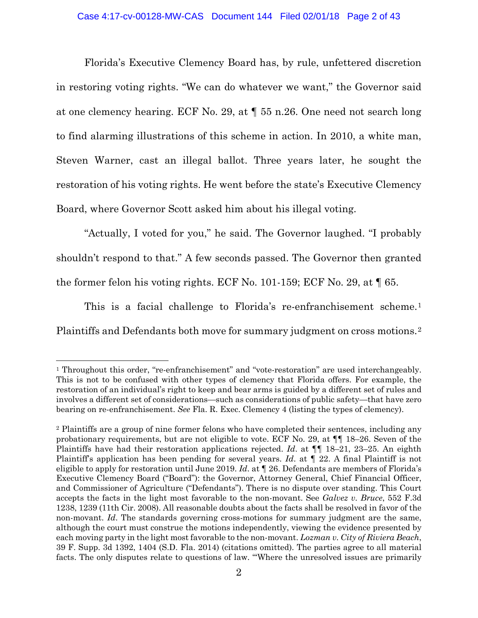# Case 4:17-cv-00128-MW-CAS Document 144 Filed 02/01/18 Page 2 of 43

Florida's Executive Clemency Board has, by rule, unfettered discretion in restoring voting rights. "We can do whatever we want," the Governor said at one clemency hearing. ECF No. 29, at ¶ 55 n.26. One need not search long to find alarming illustrations of this scheme in action. In 2010, a white man, Steven Warner, cast an illegal ballot. Three years later, he sought the restoration of his voting rights. He went before the state's Executive Clemency Board, where Governor Scott asked him about his illegal voting.

"Actually, I voted for you," he said. The Governor laughed. "I probably shouldn't respond to that." A few seconds passed. The Governor then granted the former felon his voting rights. ECF No. 101-159; ECF No. 29, at  $\llbracket 65$ .

This is a facial challenge to Florida's re-enfranchisement scheme.<sup>[1](#page-1-0)</sup> Plaintiffs and Defendants both move for summary judgment on cross motions.[2](#page-1-1)

<span id="page-1-0"></span><sup>1</sup> Throughout this order, "re-enfranchisement" and "vote-restoration" are used interchangeably. This is not to be confused with other types of clemency that Florida offers. For example, the restoration of an individual's right to keep and bear arms is guided by a different set of rules and involves a different set of considerations—such as considerations of public safety—that have zero bearing on re-enfranchisement. *See* Fla. R. Exec. Clemency 4 (listing the types of clemency).

<span id="page-1-1"></span><sup>2</sup> Plaintiffs are a group of nine former felons who have completed their sentences, including any probationary requirements, but are not eligible to vote. ECF No. 29, at ¶¶ 18–26. Seven of the Plaintiffs have had their restoration applications rejected. *Id*. at ¶¶ 18–21, 23–25. An eighth Plaintiff's application has been pending for several years. *Id*. at ¶ 22. A final Plaintiff is not eligible to apply for restoration until June 2019. *Id*. at ¶ 26. Defendants are members of Florida's Executive Clemency Board ("Board"): the Governor, Attorney General, Chief Financial Officer, and Commissioner of Agriculture ("Defendants"). There is no dispute over standing. This Court accepts the facts in the light most favorable to the non-movant. See *Galvez v. Bruce*, 552 F.3d 1238, 1239 (11th Cir. 2008). All reasonable doubts about the facts shall be resolved in favor of the non-movant. *Id*. The standards governing cross-motions for summary judgment are the same, although the court must construe the motions independently, viewing the evidence presented by each moving party in the light most favorable to the non-movant. *Lozman v. City of Riviera Beach*, 39 F. Supp. 3d 1392, 1404 (S.D. Fla. 2014) (citations omitted). The parties agree to all material facts. The only disputes relate to questions of law. "'Where the unresolved issues are primarily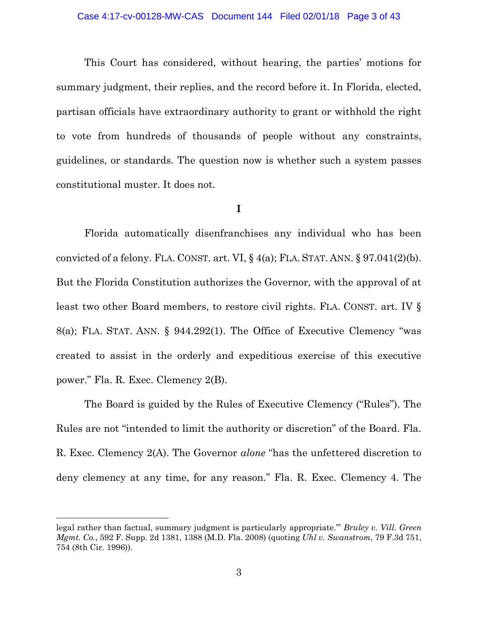#### Case 4:17-cv-00128-MW-CAS Document 144 Filed 02/01/18 Page 3 of 43

This Court has considered, without hearing, the parties' motions for summary judgment, their replies, and the record before it. In Florida, elected, partisan officials have extraordinary authority to grant or withhold the right to vote from hundreds of thousands of people without any constraints, guidelines, or standards. The question now is whether such a system passes constitutional muster. It does not.

# **I**

Florida automatically disenfranchises any individual who has been convicted of a felony. FLA. CONST. art. VI,  $\S$  4(a); FLA. STAT. ANN.  $\S$  97.041(2)(b). But the Florida Constitution authorizes the Governor, with the approval of at least two other Board members, to restore civil rights. FLA. CONST. art. IV § 8(a); FLA. STAT. ANN. § 944.292(1). The Office of Executive Clemency "was created to assist in the orderly and expeditious exercise of this executive power." Fla. R. Exec. Clemency 2(B).

The Board is guided by the Rules of Executive Clemency ("Rules"). The Rules are not "intended to limit the authority or discretion" of the Board. Fla. R. Exec. Clemency 2(A). The Governor *alone* "has the unfettered discretion to deny clemency at any time, for any reason." Fla. R. Exec. Clemency 4. The

l

legal rather than factual, summary judgment is particularly appropriate.'" *Bruley v. Vill. Green Mgmt. Co.*, 592 F. Supp. 2d 1381, 1388 (M.D. Fla. 2008) (quoting *Uhl v. Swanstrom*, 79 F.3d 751, 754 (8th Cir. 1996)).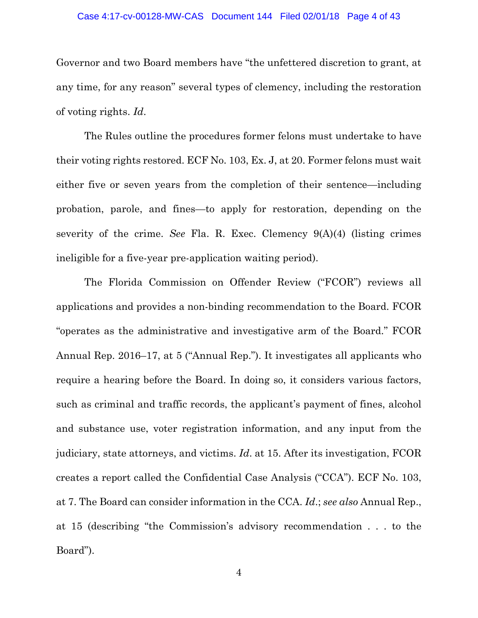#### Case 4:17-cv-00128-MW-CAS Document 144 Filed 02/01/18 Page 4 of 43

Governor and two Board members have "the unfettered discretion to grant, at any time, for any reason" several types of clemency, including the restoration of voting rights. *Id*.

The Rules outline the procedures former felons must undertake to have their voting rights restored. ECF No. 103, Ex. J, at 20. Former felons must wait either five or seven years from the completion of their sentence—including probation, parole, and fines—to apply for restoration, depending on the severity of the crime. *See* Fla. R. Exec. Clemency 9(A)(4) (listing crimes ineligible for a five-year pre-application waiting period).

The Florida Commission on Offender Review ("FCOR") reviews all applications and provides a non-binding recommendation to the Board. FCOR "operates as the administrative and investigative arm of the Board." FCOR Annual Rep. 2016–17, at 5 ("Annual Rep."). It investigates all applicants who require a hearing before the Board. In doing so, it considers various factors, such as criminal and traffic records, the applicant's payment of fines, alcohol and substance use, voter registration information, and any input from the judiciary, state attorneys, and victims. *Id*. at 15. After its investigation, FCOR creates a report called the Confidential Case Analysis ("CCA"). ECF No. 103, at 7. The Board can consider information in the CCA. *Id*.; *see also* Annual Rep., at 15 (describing "the Commission's advisory recommendation . . . to the Board").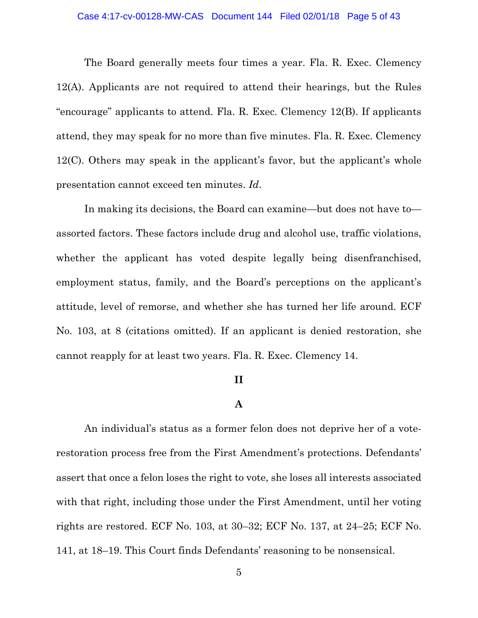#### Case 4:17-cv-00128-MW-CAS Document 144 Filed 02/01/18 Page 5 of 43

The Board generally meets four times a year. Fla. R. Exec. Clemency 12(A). Applicants are not required to attend their hearings, but the Rules "encourage" applicants to attend. Fla. R. Exec. Clemency 12(B). If applicants attend, they may speak for no more than five minutes. Fla. R. Exec. Clemency 12(C). Others may speak in the applicant's favor, but the applicant's whole presentation cannot exceed ten minutes. *Id*.

In making its decisions, the Board can examine—but does not have to assorted factors. These factors include drug and alcohol use, traffic violations, whether the applicant has voted despite legally being disenfranchised, employment status, family, and the Board's perceptions on the applicant's attitude, level of remorse, and whether she has turned her life around. ECF No. 103, at 8 (citations omitted). If an applicant is denied restoration, she cannot reapply for at least two years. Fla. R. Exec. Clemency 14.

# **II**

# **A**

An individual's status as a former felon does not deprive her of a voterestoration process free from the First Amendment's protections. Defendants' assert that once a felon loses the right to vote, she loses all interests associated with that right, including those under the First Amendment, until her voting rights are restored. ECF No. 103, at 30–32; ECF No. 137, at 24–25; ECF No. 141, at 18–19. This Court finds Defendants' reasoning to be nonsensical.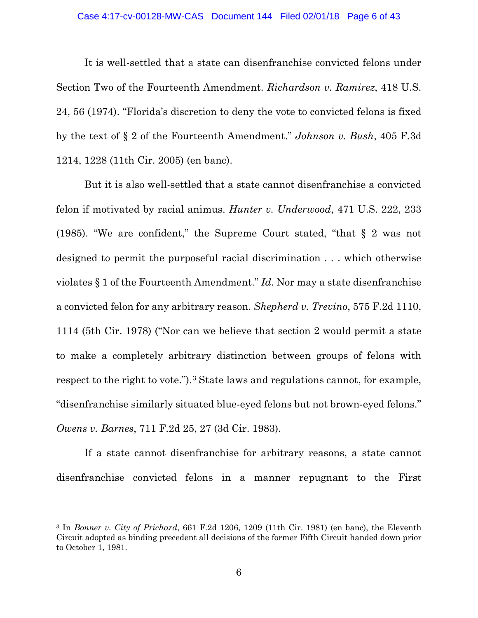#### Case 4:17-cv-00128-MW-CAS Document 144 Filed 02/01/18 Page 6 of 43

It is well-settled that a state can disenfranchise convicted felons under Section Two of the Fourteenth Amendment. *Richardson v. Ramirez*, 418 U.S. 24, 56 (1974). "Florida's discretion to deny the vote to convicted felons is fixed by the text of § 2 of the Fourteenth Amendment." *Johnson v. Bush*, 405 F.3d 1214, 1228 (11th Cir. 2005) (en banc).

But it is also well-settled that a state cannot disenfranchise a convicted felon if motivated by racial animus. *Hunter v. Underwood*, 471 U.S. 222, 233 (1985). "We are confident," the Supreme Court stated, "that § 2 was not designed to permit the purposeful racial discrimination . . . which otherwise violates § 1 of the Fourteenth Amendment." *Id*. Nor may a state disenfranchise a convicted felon for any arbitrary reason. *Shepherd v. Trevino*, 575 F.2d 1110, 1114 (5th Cir. 1978) ("Nor can we believe that section 2 would permit a state to make a completely arbitrary distinction between groups of felons with respect to the right to vote.").<sup>[3](#page-5-0)</sup> State laws and regulations cannot, for example, "disenfranchise similarly situated blue-eyed felons but not brown-eyed felons." *Owens v. Barnes*, 711 F.2d 25, 27 (3d Cir. 1983).

If a state cannot disenfranchise for arbitrary reasons, a state cannot disenfranchise convicted felons in a manner repugnant to the First

l

<span id="page-5-0"></span><sup>3</sup> In *Bonner v. City of Prichard*, 661 F.2d 1206, 1209 (11th Cir. 1981) (en banc), the Eleventh Circuit adopted as binding precedent all decisions of the former Fifth Circuit handed down prior to October 1, 1981.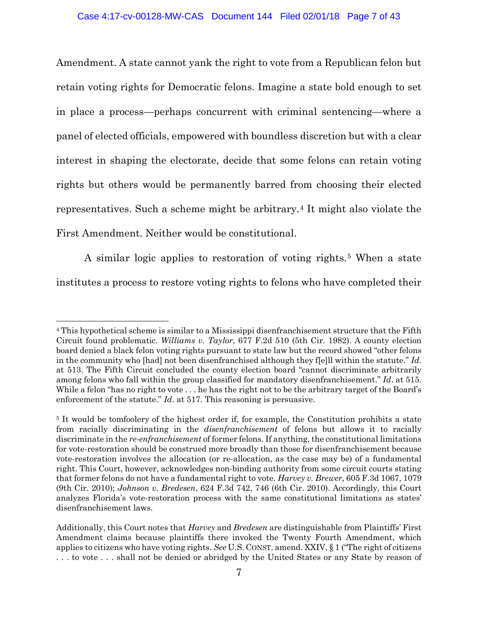Amendment. A state cannot yank the right to vote from a Republican felon but retain voting rights for Democratic felons. Imagine a state bold enough to set in place a process—perhaps concurrent with criminal sentencing—where a panel of elected officials, empowered with boundless discretion but with a clear interest in shaping the electorate, decide that some felons can retain voting rights but others would be permanently barred from choosing their elected representatives. Such a scheme might be arbitrary.[4](#page-6-0) It might also violate the First Amendment. Neither would be constitutional.

A similar logic applies to restoration of voting rights.<sup>[5](#page-6-1)</sup> When a state institutes a process to restore voting rights to felons who have completed their

l

<span id="page-6-0"></span><sup>4</sup> This hypothetical scheme is similar to a Mississippi disenfranchisement structure that the Fifth Circuit found problematic. *Williams v. Taylor*, 677 F.2d 510 (5th Cir. 1982). A county election board denied a black felon voting rights pursuant to state law but the record showed "other felons in the community who [had] not been disenfranchised although they f[e]ll within the statute." *Id*. at 513. The Fifth Circuit concluded the county election board "cannot discriminate arbitrarily among felons who fall within the group classified for mandatory disenfranchisement." *Id*. at 515. While a felon "has no right to vote . . . he has the right not to be the arbitrary target of the Board's enforcement of the statute." *Id*. at 517. This reasoning is persuasive.

<span id="page-6-1"></span><sup>&</sup>lt;sup>5</sup> It would be tomfoolery of the highest order if, for example, the Constitution prohibits a state from racially discriminating in the *disenfranchisement* of felons but allows it to racially discriminate in the *re-enfranchisement* of former felons. If anything, the constitutional limitations for vote-restoration should be construed more broadly than those for disenfranchisement because vote-restoration involves the allocation (or re-allocation, as the case may be) of a fundamental right. This Court, however, acknowledges non-binding authority from some circuit courts stating that former felons do not have a fundamental right to vote. *Harvey v. Brewer*, 605 F.3d 1067, 1079 (9th Cir. 2010); *Johnson v. Bredesen*, 624 F.3d 742, 746 (6th Cir. 2010). Accordingly, this Court analyzes Florida's vote-restoration process with the same constitutional limitations as states' disenfranchisement laws.

Additionally, this Court notes that *Harvey* and *Bredesen* are distinguishable from Plaintiffs' First Amendment claims because plaintiffs there invoked the Twenty Fourth Amendment, which applies to citizens who have voting rights. *See* U.S. CONST. amend. XXIV, § 1 ("The right of citizens . . . to vote . . . shall not be denied or abridged by the United States or any State by reason of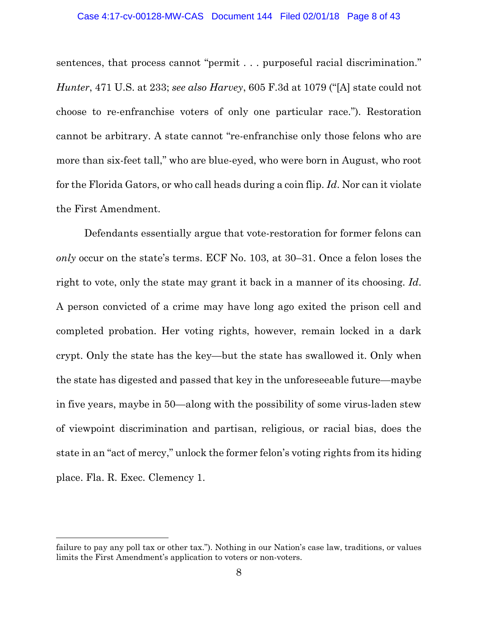#### Case 4:17-cv-00128-MW-CAS Document 144 Filed 02/01/18 Page 8 of 43

sentences, that process cannot "permit . . . purposeful racial discrimination." *Hunter*, 471 U.S. at 233; *see also Harvey*, 605 F.3d at 1079 ("[A] state could not choose to re-enfranchise voters of only one particular race."). Restoration cannot be arbitrary. A state cannot "re-enfranchise only those felons who are more than six-feet tall," who are blue-eyed, who were born in August, who root for the Florida Gators, or who call heads during a coin flip. *Id*. Nor can it violate the First Amendment.

Defendants essentially argue that vote-restoration for former felons can *only* occur on the state's terms. ECF No. 103, at 30–31. Once a felon loses the right to vote, only the state may grant it back in a manner of its choosing. *Id*. A person convicted of a crime may have long ago exited the prison cell and completed probation. Her voting rights, however, remain locked in a dark crypt. Only the state has the key—but the state has swallowed it. Only when the state has digested and passed that key in the unforeseeable future—maybe in five years, maybe in 50—along with the possibility of some virus-laden stew of viewpoint discrimination and partisan, religious, or racial bias, does the state in an "act of mercy," unlock the former felon's voting rights from its hiding place. Fla. R. Exec. Clemency 1.

failure to pay any poll tax or other tax."). Nothing in our Nation's case law, traditions, or values limits the First Amendment's application to voters or non-voters.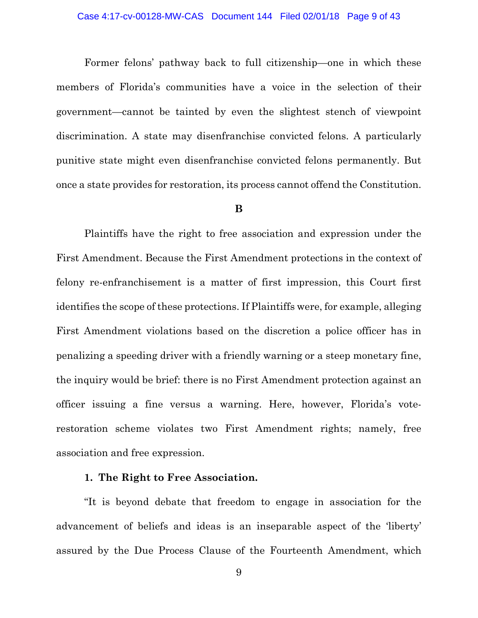Former felons' pathway back to full citizenship—one in which these members of Florida's communities have a voice in the selection of their government—cannot be tainted by even the slightest stench of viewpoint discrimination. A state may disenfranchise convicted felons. A particularly punitive state might even disenfranchise convicted felons permanently. But once a state provides for restoration, its process cannot offend the Constitution.

#### **B**

Plaintiffs have the right to free association and expression under the First Amendment. Because the First Amendment protections in the context of felony re-enfranchisement is a matter of first impression, this Court first identifies the scope of these protections. If Plaintiffs were, for example, alleging First Amendment violations based on the discretion a police officer has in penalizing a speeding driver with a friendly warning or a steep monetary fine, the inquiry would be brief: there is no First Amendment protection against an officer issuing a fine versus a warning. Here, however, Florida's voterestoration scheme violates two First Amendment rights; namely, free association and free expression.

# **1. The Right to Free Association.**

"It is beyond debate that freedom to engage in association for the advancement of beliefs and ideas is an inseparable aspect of the 'liberty' assured by the Due Process Clause of the Fourteenth Amendment, which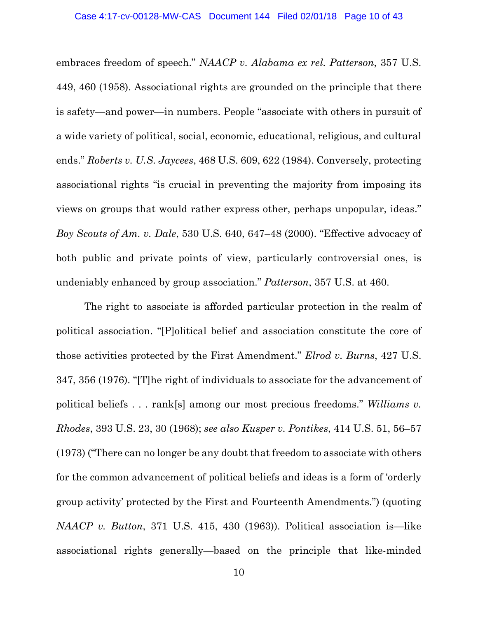embraces freedom of speech." *NAACP v. Alabama ex rel. Patterson*, 357 U.S. 449, 460 (1958). Associational rights are grounded on the principle that there is safety—and power—in numbers. People "associate with others in pursuit of a wide variety of political, social, economic, educational, religious, and cultural ends." *Roberts v. U.S. Jaycees*, 468 U.S. 609, 622 (1984). Conversely, protecting associational rights "is crucial in preventing the majority from imposing its views on groups that would rather express other, perhaps unpopular, ideas." *Boy Scouts of Am. v. Dale*, 530 U.S. 640, 647–48 (2000). "Effective advocacy of both public and private points of view, particularly controversial ones, is undeniably enhanced by group association." *Patterson*, 357 U.S. at 460.

The right to associate is afforded particular protection in the realm of political association. "[P]olitical belief and association constitute the core of those activities protected by the First Amendment." *Elrod v. Burns*, 427 U.S. 347, 356 (1976). "[T]he right of individuals to associate for the advancement of political beliefs . . . rank[s] among our most precious freedoms." *Williams v. Rhodes*, 393 U.S. 23, 30 (1968); *see also Kusper v. Pontikes*, 414 U.S. 51, 56–57 (1973) ("There can no longer be any doubt that freedom to associate with others for the common advancement of political beliefs and ideas is a form of 'orderly group activity' protected by the First and Fourteenth Amendments.") (quoting *NAACP v. Button*, 371 U.S. 415, 430 (1963)). Political association is—like associational rights generally—based on the principle that like-minded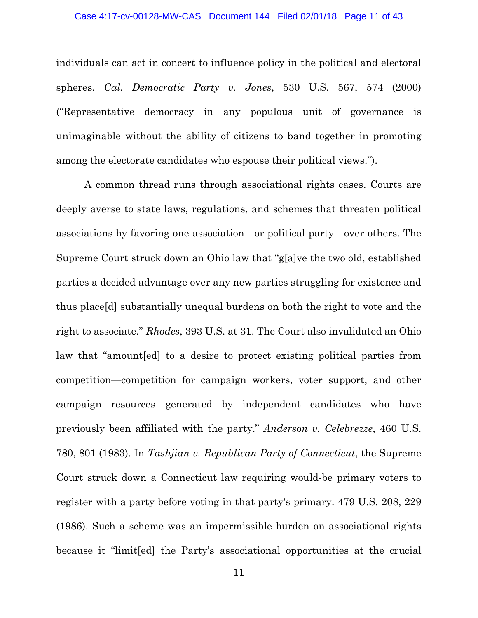#### Case 4:17-cv-00128-MW-CAS Document 144 Filed 02/01/18 Page 11 of 43

individuals can act in concert to influence policy in the political and electoral spheres. *Cal. Democratic Party v. Jones*, 530 U.S. 567, 574 (2000) ("Representative democracy in any populous unit of governance is unimaginable without the ability of citizens to band together in promoting among the electorate candidates who espouse their political views.").

A common thread runs through associational rights cases. Courts are deeply averse to state laws, regulations, and schemes that threaten political associations by favoring one association—or political party—over others. The Supreme Court struck down an Ohio law that "g[a]ve the two old, established parties a decided advantage over any new parties struggling for existence and thus place[d] substantially unequal burdens on both the right to vote and the right to associate." *Rhodes*, 393 U.S. at 31. The Court also invalidated an Ohio law that "amount[ed] to a desire to protect existing political parties from competition—competition for campaign workers, voter support, and other campaign resources—generated by independent candidates who have previously been affiliated with the party." *Anderson v. Celebrezze*, 460 U.S. 780, 801 (1983). In *Tashjian v. Republican Party of Connecticut*, the Supreme Court struck down a Connecticut law requiring would-be primary voters to register with a party before voting in that party's primary. 479 U.S. 208, 229 (1986). Such a scheme was an impermissible burden on associational rights because it "limit[ed] the Party's associational opportunities at the crucial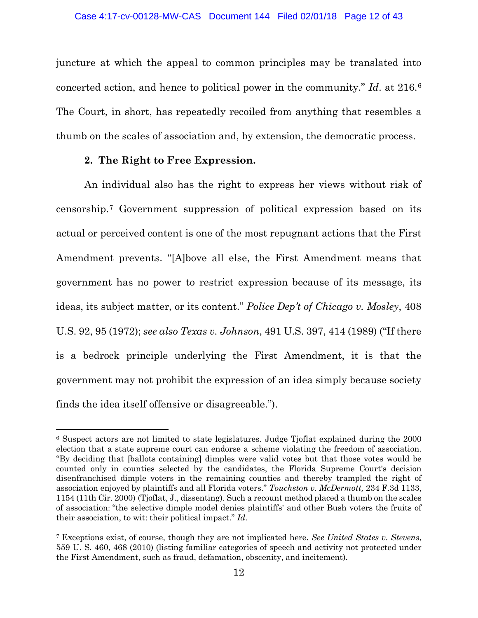juncture at which the appeal to common principles may be translated into concerted action, and hence to political power in the community." *Id*. at 216.[6](#page-11-0) The Court, in short, has repeatedly recoiled from anything that resembles a thumb on the scales of association and, by extension, the democratic process.

# **2. The Right to Free Expression.**

l

An individual also has the right to express her views without risk of censorship.[7](#page-11-1) Government suppression of political expression based on its actual or perceived content is one of the most repugnant actions that the First Amendment prevents. "[A]bove all else, the First Amendment means that government has no power to restrict expression because of its message, its ideas, its subject matter, or its content." *Police Dep't of Chicago v. Mosley*, 408 U.S. 92, 95 (1972); *see also Texas v. Johnson*, 491 U.S. 397, 414 (1989) ("If there is a bedrock principle underlying the First Amendment, it is that the government may not prohibit the expression of an idea simply because society finds the idea itself offensive or disagreeable.").

<span id="page-11-0"></span><sup>6</sup> Suspect actors are not limited to state legislatures. Judge Tjoflat explained during the 2000 election that a state supreme court can endorse a scheme violating the freedom of association. "By deciding that [ballots containing] dimples were valid votes but that those votes would be counted only in counties selected by the candidates, the Florida Supreme Court's decision disenfranchised dimple voters in the remaining counties and thereby trampled the right of association enjoyed by plaintiffs and all Florida voters." *Touchston v. McDermott,* 234 F.3d 1133, 1154 (11th Cir. 2000) (Tjoflat, J., dissenting). Such a recount method placed a thumb on the scales of association: "the selective dimple model denies plaintiffs' and other Bush voters the fruits of their association, to wit: their political impact." *Id*.

<span id="page-11-1"></span><sup>7</sup> Exceptions exist, of course, though they are not implicated here. *See United States v. Stevens*, 559 U. S. 460, 468 (2010) (listing familiar categories of speech and activity not protected under the First Amendment, such as fraud, defamation, obscenity, and incitement).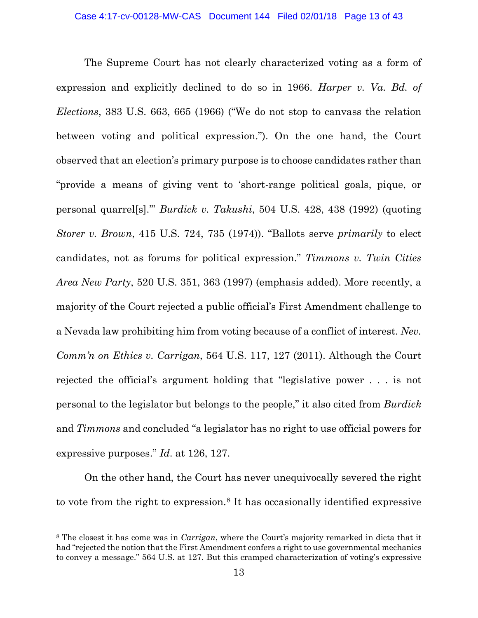The Supreme Court has not clearly characterized voting as a form of expression and explicitly declined to do so in 1966. *Harper v. Va. Bd. of Elections*, 383 U.S. 663, 665 (1966) ("We do not stop to canvass the relation between voting and political expression."). On the one hand, the Court observed that an election's primary purpose is to choose candidates rather than "provide a means of giving vent to 'short-range political goals, pique, or personal quarrel[s].'" *Burdick v. Takushi*, 504 U.S. 428, 438 (1992) (quoting *Storer v. Brown*, 415 U.S. 724, 735 (1974)). "Ballots serve *primarily* to elect candidates, not as forums for political expression." *Timmons v. Twin Cities Area New Party*, 520 U.S. 351, 363 (1997) (emphasis added). More recently, a majority of the Court rejected a public official's First Amendment challenge to a Nevada law prohibiting him from voting because of a conflict of interest. *Nev. Comm'n on Ethics v. Carrigan*, 564 U.S. 117, 127 (2011). Although the Court rejected the official's argument holding that "legislative power . . . is not personal to the legislator but belongs to the people," it also cited from *Burdick* and *Timmons* and concluded "a legislator has no right to use official powers for expressive purposes." *Id*. at 126, 127.

On the other hand, the Court has never unequivocally severed the right to vote from the right to expression.[8](#page-12-0) It has occasionally identified expressive

<span id="page-12-0"></span><sup>8</sup> The closest it has come was in *Carrigan*, where the Court's majority remarked in dicta that it had "rejected the notion that the First Amendment confers a right to use governmental mechanics to convey a message." 564 U.S. at 127. But this cramped characterization of voting's expressive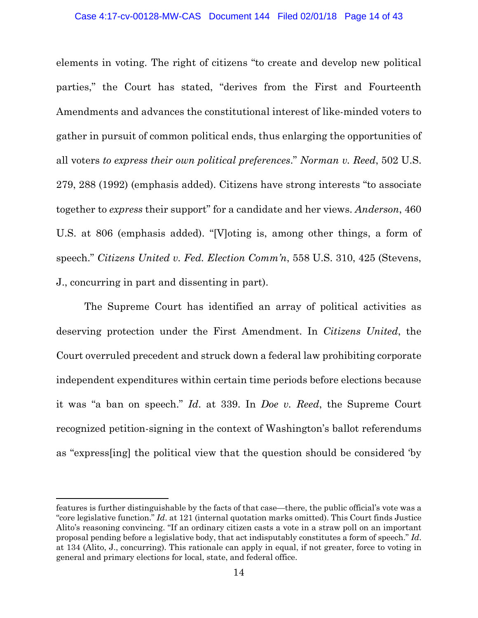#### Case 4:17-cv-00128-MW-CAS Document 144 Filed 02/01/18 Page 14 of 43

elements in voting. The right of citizens "to create and develop new political parties," the Court has stated, "derives from the First and Fourteenth Amendments and advances the constitutional interest of like-minded voters to gather in pursuit of common political ends, thus enlarging the opportunities of all voters *to express their own political preferences*." *Norman v. Reed*, 502 U.S. 279, 288 (1992) (emphasis added). Citizens have strong interests "to associate together to *express* their support" for a candidate and her views. *Anderson*, 460 U.S. at 806 (emphasis added). "[V]oting is, among other things, a form of speech." *Citizens United v. Fed. Election Comm'n*, 558 U.S. 310, 425 (Stevens, J., concurring in part and dissenting in part).

The Supreme Court has identified an array of political activities as deserving protection under the First Amendment. In *Citizens United*, the Court overruled precedent and struck down a federal law prohibiting corporate independent expenditures within certain time periods before elections because it was "a ban on speech." *Id*. at 339. In *Doe v. Reed*, the Supreme Court recognized petition-signing in the context of Washington's ballot referendums as "express[ing] the political view that the question should be considered 'by

l

features is further distinguishable by the facts of that case—there, the public official's vote was a "core legislative function." *Id*. at 121 (internal quotation marks omitted). This Court finds Justice Alito's reasoning convincing. "If an ordinary citizen casts a vote in a straw poll on an important proposal pending before a legislative body, that act indisputably constitutes a form of speech." *Id*. at 134 (Alito, J., concurring). This rationale can apply in equal, if not greater, force to voting in general and primary elections for local, state, and federal office.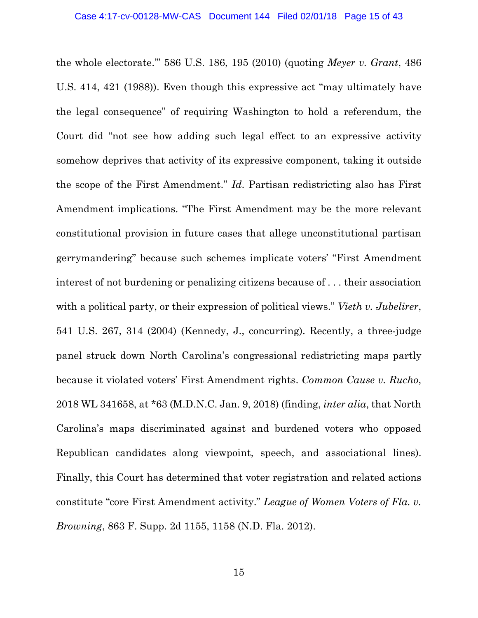the whole electorate.'" 586 U.S. 186, 195 (2010) (quoting *Meyer v. Grant*, 486 U.S. 414, 421 (1988)). Even though this expressive act "may ultimately have the legal consequence" of requiring Washington to hold a referendum, the Court did "not see how adding such legal effect to an expressive activity somehow deprives that activity of its expressive component, taking it outside the scope of the First Amendment." *Id*. Partisan redistricting also has First Amendment implications. "The First Amendment may be the more relevant constitutional provision in future cases that allege unconstitutional partisan gerrymandering" because such schemes implicate voters' "First Amendment interest of not burdening or penalizing citizens because of . . . their association with a political party, or their expression of political views." *Vieth v. Jubelirer*, 541 U.S. 267, 314 (2004) (Kennedy, J., concurring). Recently, a three-judge panel struck down North Carolina's congressional redistricting maps partly because it violated voters' First Amendment rights. *Common Cause v. Rucho*, 2018 WL 341658, at \*63 (M.D.N.C. Jan. 9, 2018) (finding, *inter alia*, that North Carolina's maps discriminated against and burdened voters who opposed Republican candidates along viewpoint, speech, and associational lines). Finally, this Court has determined that voter registration and related actions constitute "core First Amendment activity." *League of Women Voters of Fla. v. Browning*, 863 F. Supp. 2d 1155, 1158 (N.D. Fla. 2012).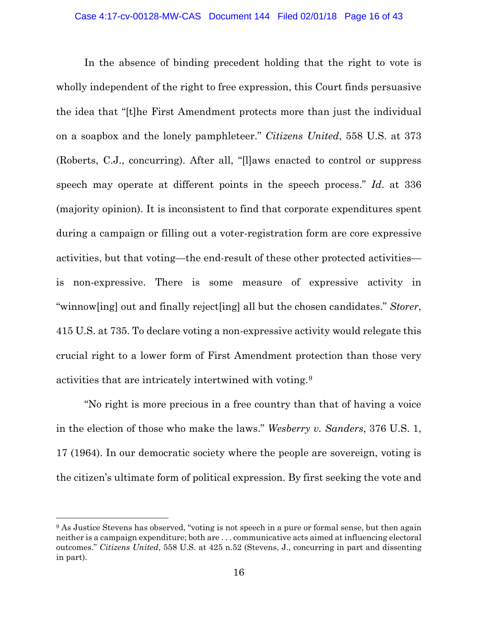In the absence of binding precedent holding that the right to vote is wholly independent of the right to free expression, this Court finds persuasive the idea that "[t]he First Amendment protects more than just the individual on a soapbox and the lonely pamphleteer." *Citizens United*, 558 U.S. at 373 (Roberts, C.J., concurring). After all, "[l]aws enacted to control or suppress speech may operate at different points in the speech process." *Id*. at 336 (majority opinion). It is inconsistent to find that corporate expenditures spent during a campaign or filling out a voter-registration form are core expressive activities, but that voting—the end-result of these other protected activities is non-expressive. There is some measure of expressive activity in "winnow[ing] out and finally reject[ing] all but the chosen candidates." *Storer*, 415 U.S. at 735. To declare voting a non-expressive activity would relegate this crucial right to a lower form of First Amendment protection than those very activities that are intricately intertwined with voting.[9](#page-15-0)

"No right is more precious in a free country than that of having a voice in the election of those who make the laws." *Wesberry v. Sanders*, 376 U.S. 1, 17 (1964). In our democratic society where the people are sovereign, voting is the citizen's ultimate form of political expression. By first seeking the vote and

l

<span id="page-15-0"></span><sup>&</sup>lt;sup>9</sup> As Justice Stevens has observed, "voting is not speech in a pure or formal sense, but then again neither is a campaign expenditure; both are . . . communicative acts aimed at influencing electoral outcomes." *Citizens United*, 558 U.S. at 425 n.52 (Stevens, J., concurring in part and dissenting in part).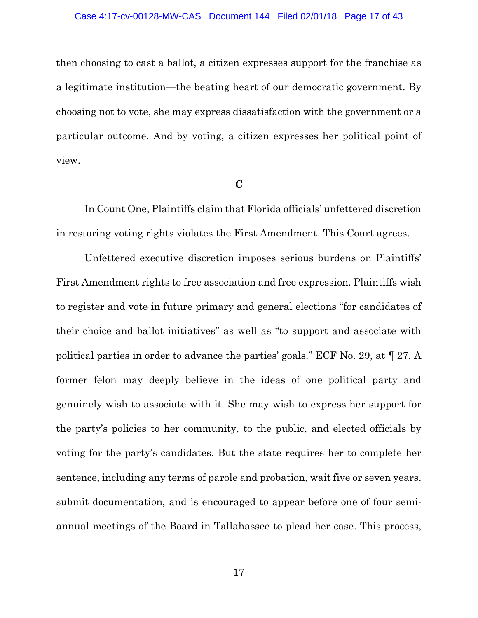#### Case 4:17-cv-00128-MW-CAS Document 144 Filed 02/01/18 Page 17 of 43

then choosing to cast a ballot, a citizen expresses support for the franchise as a legitimate institution—the beating heart of our democratic government. By choosing not to vote, she may express dissatisfaction with the government or a particular outcome. And by voting, a citizen expresses her political point of view.

#### **C**

In Count One, Plaintiffs claim that Florida officials' unfettered discretion in restoring voting rights violates the First Amendment. This Court agrees.

Unfettered executive discretion imposes serious burdens on Plaintiffs' First Amendment rights to free association and free expression. Plaintiffs wish to register and vote in future primary and general elections "for candidates of their choice and ballot initiatives" as well as "to support and associate with political parties in order to advance the parties' goals." ECF No. 29, at ¶ 27. A former felon may deeply believe in the ideas of one political party and genuinely wish to associate with it. She may wish to express her support for the party's policies to her community, to the public, and elected officials by voting for the party's candidates. But the state requires her to complete her sentence, including any terms of parole and probation, wait five or seven years, submit documentation, and is encouraged to appear before one of four semiannual meetings of the Board in Tallahassee to plead her case. This process,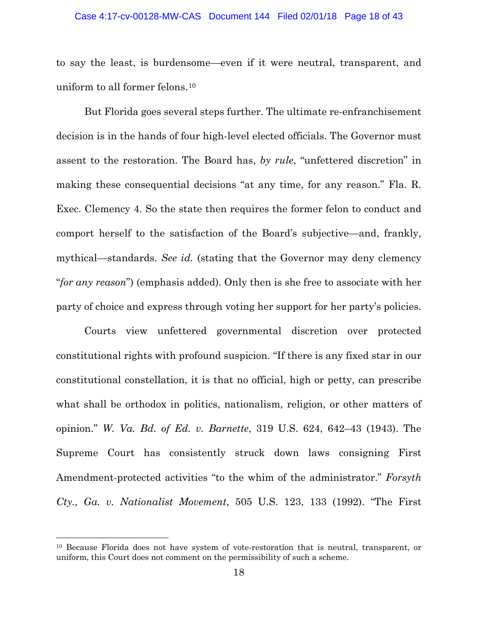#### Case 4:17-cv-00128-MW-CAS Document 144 Filed 02/01/18 Page 18 of 43

to say the least, is burdensome—even if it were neutral, transparent, and uniform to all former felons.[10](#page-17-0)

But Florida goes several steps further. The ultimate re-enfranchisement decision is in the hands of four high-level elected officials. The Governor must assent to the restoration. The Board has, *by rule*, "unfettered discretion" in making these consequential decisions "at any time, for any reason." Fla. R. Exec. Clemency 4. So the state then requires the former felon to conduct and comport herself to the satisfaction of the Board's subjective—and, frankly, mythical—standards. *See id.* (stating that the Governor may deny clemency "*for any reason*") (emphasis added). Only then is she free to associate with her party of choice and express through voting her support for her party's policies.

Courts view unfettered governmental discretion over protected constitutional rights with profound suspicion. "If there is any fixed star in our constitutional constellation, it is that no official, high or petty, can prescribe what shall be orthodox in politics, nationalism, religion, or other matters of opinion." *W. Va. Bd. of Ed. v. Barnette*, 319 U.S. 624, 642–43 (1943). The Supreme Court has consistently struck down laws consigning First Amendment-protected activities "to the whim of the administrator." *Forsyth Cty., Ga. v. Nationalist Movement*, 505 U.S. 123, 133 (1992). "The First

<span id="page-17-0"></span><sup>10</sup> Because Florida does not have system of vote-restoration that is neutral, transparent, or uniform, this Court does not comment on the permissibility of such a scheme.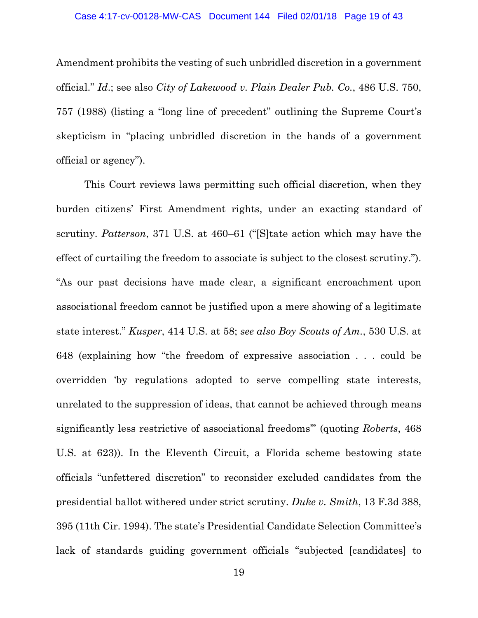Amendment prohibits the vesting of such unbridled discretion in a government official." *Id*.; see also *City of Lakewood v. Plain Dealer Pub. Co.*, 486 U.S. 750, 757 (1988) (listing a "long line of precedent" outlining the Supreme Court's skepticism in "placing unbridled discretion in the hands of a government official or agency").

This Court reviews laws permitting such official discretion, when they burden citizens' First Amendment rights, under an exacting standard of scrutiny. *Patterson*, 371 U.S. at 460–61 ("[S]tate action which may have the effect of curtailing the freedom to associate is subject to the closest scrutiny."). "As our past decisions have made clear, a significant encroachment upon associational freedom cannot be justified upon a mere showing of a legitimate state interest." *Kusper*, 414 U.S. at 58; *see also Boy Scouts of Am.*, 530 U.S. at 648 (explaining how "the freedom of expressive association . . . could be overridden 'by regulations adopted to serve compelling state interests, unrelated to the suppression of ideas, that cannot be achieved through means significantly less restrictive of associational freedoms'" (quoting *Roberts*, 468 U.S. at 623)). In the Eleventh Circuit, a Florida scheme bestowing state officials "unfettered discretion" to reconsider excluded candidates from the presidential ballot withered under strict scrutiny. *Duke v. Smith*, 13 F.3d 388, 395 (11th Cir. 1994). The state's Presidential Candidate Selection Committee's lack of standards guiding government officials "subjected [candidates] to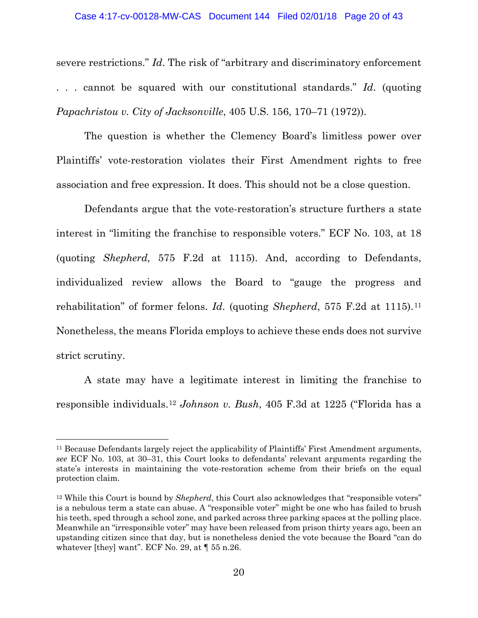#### Case 4:17-cv-00128-MW-CAS Document 144 Filed 02/01/18 Page 20 of 43

severe restrictions." *Id*. The risk of "arbitrary and discriminatory enforcement . . . cannot be squared with our constitutional standards." *Id*. (quoting *Papachristou v. City of Jacksonville*, 405 U.S. 156, 170–71 (1972)).

The question is whether the Clemency Board's limitless power over Plaintiffs' vote-restoration violates their First Amendment rights to free association and free expression. It does. This should not be a close question.

Defendants argue that the vote-restoration's structure furthers a state interest in "limiting the franchise to responsible voters." ECF No. 103, at 18 (quoting *Shepherd,* 575 F.2d at 1115). And, according to Defendants, individualized review allows the Board to "gauge the progress and rehabilitation" of former felons. *Id*. (quoting *Shepherd*, 575 F.2d at 1115).[11](#page-19-0) Nonetheless, the means Florida employs to achieve these ends does not survive strict scrutiny.

A state may have a legitimate interest in limiting the franchise to responsible individuals.[12](#page-19-1) *Johnson v. Bush*, 405 F.3d at 1225 ("Florida has a

l

<span id="page-19-0"></span><sup>11</sup> Because Defendants largely reject the applicability of Plaintiffs' First Amendment arguments, *see* ECF No. 103, at 30–31, this Court looks to defendants' relevant arguments regarding the state's interests in maintaining the vote-restoration scheme from their briefs on the equal protection claim.

<span id="page-19-1"></span><sup>12</sup> While this Court is bound by *Shepherd*, this Court also acknowledges that "responsible voters" is a nebulous term a state can abuse. A "responsible voter" might be one who has failed to brush his teeth, sped through a school zone, and parked across three parking spaces at the polling place. Meanwhile an "irresponsible voter" may have been released from prison thirty years ago, been an upstanding citizen since that day, but is nonetheless denied the vote because the Board "can do whatever [they] want". ECF No. 29, at  $\llbracket 55 \text{ n.} 26$ .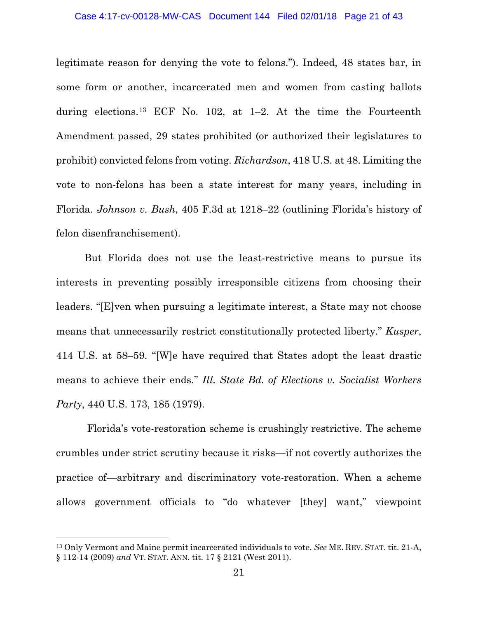#### Case 4:17-cv-00128-MW-CAS Document 144 Filed 02/01/18 Page 21 of 43

legitimate reason for denying the vote to felons."). Indeed, 48 states bar, in some form or another, incarcerated men and women from casting ballots during elections.<sup>[13](#page-20-0)</sup> ECF No. 102, at  $1-2$ . At the time the Fourteenth Amendment passed, 29 states prohibited (or authorized their legislatures to prohibit) convicted felons from voting. *Richardson*, 418 U.S. at 48. Limiting the vote to non-felons has been a state interest for many years, including in Florida. *Johnson v. Bush*, 405 F.3d at 1218–22 (outlining Florida's history of felon disenfranchisement).

But Florida does not use the least-restrictive means to pursue its interests in preventing possibly irresponsible citizens from choosing their leaders. "[E]ven when pursuing a legitimate interest, a State may not choose means that unnecessarily restrict constitutionally protected liberty." *Kusper*, 414 U.S. at 58–59. "[W]e have required that States adopt the least drastic means to achieve their ends." *Ill. State Bd. of Elections v. Socialist Workers Party*, 440 U.S. 173, 185 (1979).

Florida's vote-restoration scheme is crushingly restrictive. The scheme crumbles under strict scrutiny because it risks—if not covertly authorizes the practice of—arbitrary and discriminatory vote-restoration. When a scheme allows government officials to "do whatever [they] want," viewpoint

<span id="page-20-0"></span><sup>13</sup> Only Vermont and Maine permit incarcerated individuals to vote. *See* ME. REV. STAT. tit. 21-A, § 112-14 (2009) *and* VT. STAT. ANN. tit. 17 § 2121 (West 2011).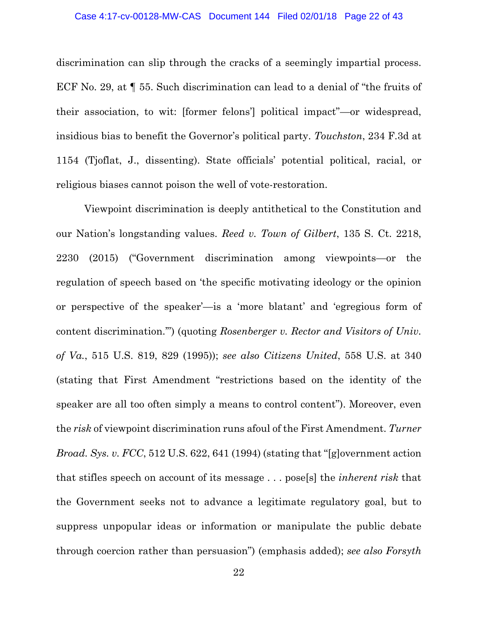discrimination can slip through the cracks of a seemingly impartial process. ECF No. 29, at ¶ 55. Such discrimination can lead to a denial of "the fruits of their association, to wit: [former felons'] political impact"—or widespread, insidious bias to benefit the Governor's political party. *Touchston*, 234 F.3d at 1154 (Tjoflat, J., dissenting). State officials' potential political, racial, or religious biases cannot poison the well of vote-restoration.

Viewpoint discrimination is deeply antithetical to the Constitution and our Nation's longstanding values. *Reed v. Town of Gilbert*, 135 S. Ct. 2218, 2230 (2015) ("Government discrimination among viewpoints—or the regulation of speech based on 'the specific motivating ideology or the opinion or perspective of the speaker'—is a 'more blatant' and 'egregious form of content discrimination.'") (quoting *Rosenberger v. Rector and Visitors of Univ. of Va.*, 515 U.S. 819, 829 (1995)); *see also Citizens United*, 558 U.S. at 340 (stating that First Amendment "restrictions based on the identity of the speaker are all too often simply a means to control content"). Moreover, even the *risk* of viewpoint discrimination runs afoul of the First Amendment. *Turner Broad. Sys. v. FCC*, 512 U.S. 622, 641 (1994) (stating that "[g]overnment action that stifles speech on account of its message . . . pose[s] the *inherent risk* that the Government seeks not to advance a legitimate regulatory goal, but to suppress unpopular ideas or information or manipulate the public debate through coercion rather than persuasion") (emphasis added); *see also Forsyth*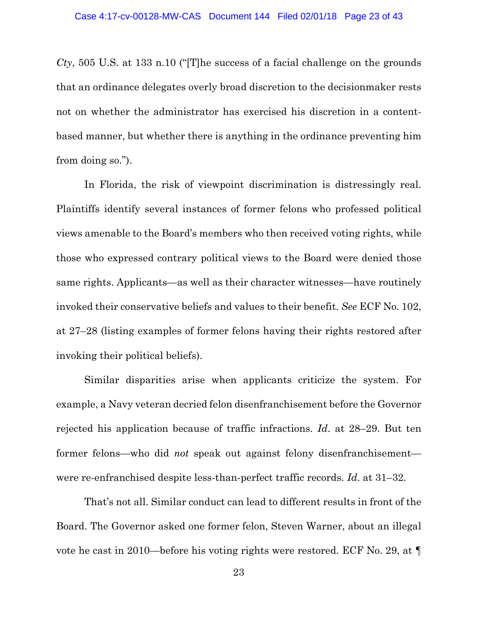*Cty*, 505 U.S. at 133 n.10 ("[T]he success of a facial challenge on the grounds that an ordinance delegates overly broad discretion to the decisionmaker rests not on whether the administrator has exercised his discretion in a contentbased manner, but whether there is anything in the ordinance preventing him from doing so.").

In Florida, the risk of viewpoint discrimination is distressingly real. Plaintiffs identify several instances of former felons who professed political views amenable to the Board's members who then received voting rights, while those who expressed contrary political views to the Board were denied those same rights. Applicants—as well as their character witnesses—have routinely invoked their conservative beliefs and values to their benefit. *See* ECF No. 102, at 27–28 (listing examples of former felons having their rights restored after invoking their political beliefs).

Similar disparities arise when applicants criticize the system. For example, a Navy veteran decried felon disenfranchisement before the Governor rejected his application because of traffic infractions. *Id*. at 28–29. But ten former felons—who did *not* speak out against felony disenfranchisement were re-enfranchised despite less-than-perfect traffic records. *Id*. at 31–32.

That's not all. Similar conduct can lead to different results in front of the Board. The Governor asked one former felon, Steven Warner, about an illegal vote he cast in 2010—before his voting rights were restored. ECF No. 29, at ¶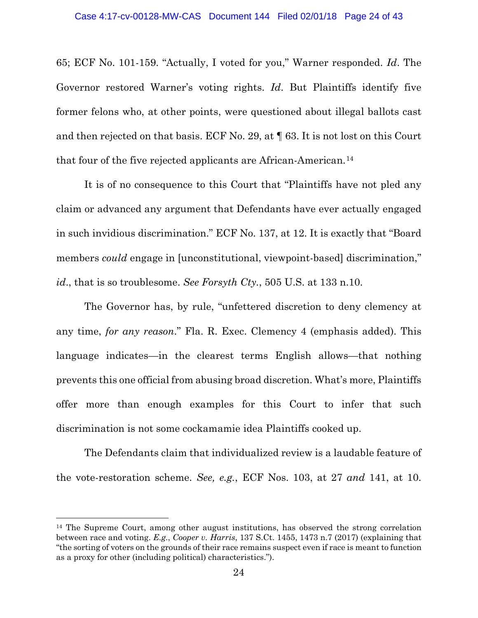65; ECF No. 101-159. "Actually, I voted for you," Warner responded. *Id*. The Governor restored Warner's voting rights. *Id*. But Plaintiffs identify five former felons who, at other points, were questioned about illegal ballots cast and then rejected on that basis. ECF No. 29, at ¶ 63. It is not lost on this Court that four of the five rejected applicants are African-American.[14](#page-23-0)

It is of no consequence to this Court that "Plaintiffs have not pled any claim or advanced any argument that Defendants have ever actually engaged in such invidious discrimination." ECF No. 137, at 12. It is exactly that "Board members *could* engage in [unconstitutional, viewpoint-based] discrimination," *id*., that is so troublesome. *See Forsyth Cty.*, 505 U.S. at 133 n.10.

The Governor has, by rule, "unfettered discretion to deny clemency at any time, *for any reason*." Fla. R. Exec. Clemency 4 (emphasis added). This language indicates—in the clearest terms English allows—that nothing prevents this one official from abusing broad discretion. What's more, Plaintiffs offer more than enough examples for this Court to infer that such discrimination is not some cockamamie idea Plaintiffs cooked up.

The Defendants claim that individualized review is a laudable feature of the vote-restoration scheme. *See, e.g.*, ECF Nos. 103, at 27 *and* 141, at 10.

l

<span id="page-23-0"></span><sup>14</sup> The Supreme Court, among other august institutions, has observed the strong correlation between race and voting. *E.g.*, *Cooper v. Harris*, 137 S.Ct. 1455, 1473 n.7 (2017) (explaining that "the sorting of voters on the grounds of their race remains suspect even if race is meant to function as a proxy for other (including political) characteristics.").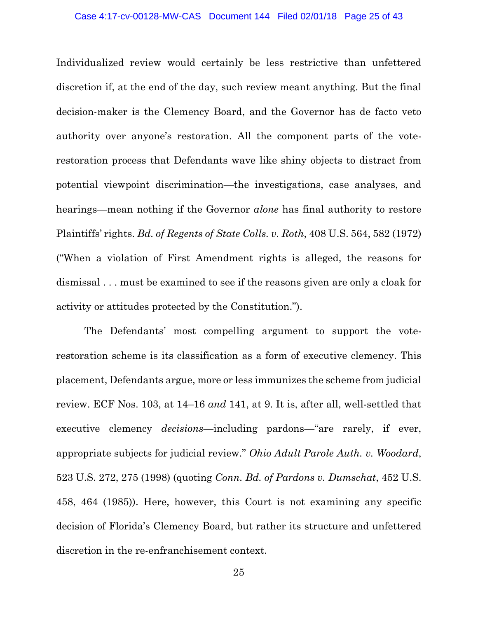#### Case 4:17-cv-00128-MW-CAS Document 144 Filed 02/01/18 Page 25 of 43

Individualized review would certainly be less restrictive than unfettered discretion if, at the end of the day, such review meant anything. But the final decision-maker is the Clemency Board, and the Governor has de facto veto authority over anyone's restoration. All the component parts of the voterestoration process that Defendants wave like shiny objects to distract from potential viewpoint discrimination—the investigations, case analyses, and hearings—mean nothing if the Governor *alone* has final authority to restore Plaintiffs' rights. *Bd. of Regents of State Colls. v. Roth*, 408 U.S. 564, 582 (1972) ("When a violation of First Amendment rights is alleged, the reasons for dismissal . . . must be examined to see if the reasons given are only a cloak for activity or attitudes protected by the Constitution.").

The Defendants' most compelling argument to support the voterestoration scheme is its classification as a form of executive clemency. This placement, Defendants argue, more or less immunizes the scheme from judicial review. ECF Nos. 103, at 14–16 *and* 141, at 9. It is, after all, well-settled that executive clemency *decisions*—including pardons—"are rarely, if ever, appropriate subjects for judicial review." *Ohio Adult Parole Auth. v. Woodard*, 523 U.S. 272, 275 (1998) (quoting *Conn. Bd. of Pardons v. Dumschat*, 452 U.S. 458, 464 (1985)). Here, however, this Court is not examining any specific decision of Florida's Clemency Board, but rather its structure and unfettered discretion in the re-enfranchisement context.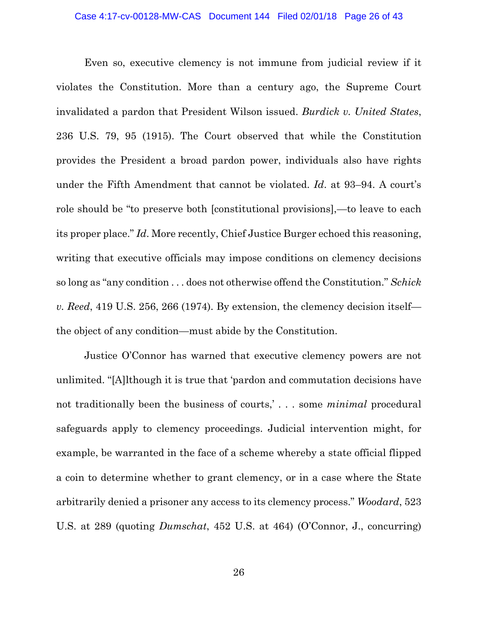#### Case 4:17-cv-00128-MW-CAS Document 144 Filed 02/01/18 Page 26 of 43

Even so, executive clemency is not immune from judicial review if it violates the Constitution. More than a century ago, the Supreme Court invalidated a pardon that President Wilson issued. *Burdick v. United States*, 236 U.S. 79, 95 (1915). The Court observed that while the Constitution provides the President a broad pardon power, individuals also have rights under the Fifth Amendment that cannot be violated. *Id*. at 93–94. A court's role should be "to preserve both [constitutional provisions],—to leave to each its proper place." *Id*. More recently, Chief Justice Burger echoed this reasoning, writing that executive officials may impose conditions on clemency decisions so long as "any condition . . . does not otherwise offend the Constitution." *Schick v. Reed*, 419 U.S. 256, 266 (1974). By extension, the clemency decision itself the object of any condition—must abide by the Constitution.

Justice O'Connor has warned that executive clemency powers are not unlimited. "[A]lthough it is true that 'pardon and commutation decisions have not traditionally been the business of courts,' . . . some *minimal* procedural safeguards apply to clemency proceedings. Judicial intervention might, for example, be warranted in the face of a scheme whereby a state official flipped a coin to determine whether to grant clemency, or in a case where the State arbitrarily denied a prisoner any access to its clemency process." *Woodard*, 523 U.S. at 289 (quoting *Dumschat*, 452 U.S. at 464) (O'Connor, J., concurring)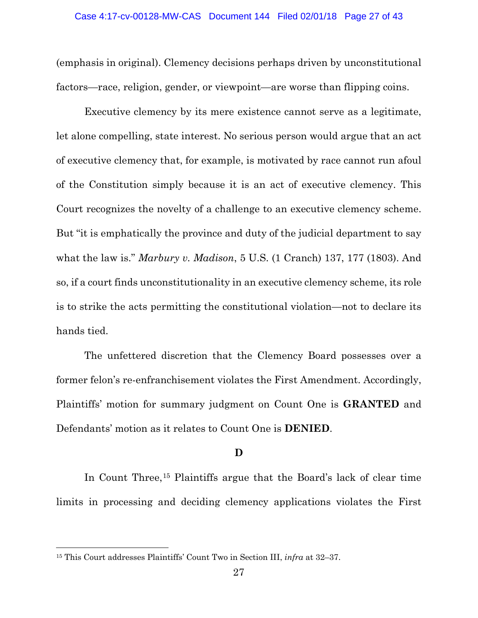(emphasis in original). Clemency decisions perhaps driven by unconstitutional factors—race, religion, gender, or viewpoint—are worse than flipping coins.

Executive clemency by its mere existence cannot serve as a legitimate, let alone compelling, state interest. No serious person would argue that an act of executive clemency that, for example, is motivated by race cannot run afoul of the Constitution simply because it is an act of executive clemency. This Court recognizes the novelty of a challenge to an executive clemency scheme. But "it is emphatically the province and duty of the judicial department to say what the law is." *Marbury v. Madison*, 5 U.S. (1 Cranch) 137, 177 (1803). And so, if a court finds unconstitutionality in an executive clemency scheme, its role is to strike the acts permitting the constitutional violation—not to declare its hands tied.

The unfettered discretion that the Clemency Board possesses over a former felon's re-enfranchisement violates the First Amendment. Accordingly, Plaintiffs' motion for summary judgment on Count One is **GRANTED** and Defendants' motion as it relates to Count One is **DENIED**.

# **D**

In Count Three,<sup>[15](#page-26-0)</sup> Plaintiffs argue that the Board's lack of clear time limits in processing and deciding clemency applications violates the First

<span id="page-26-0"></span><sup>15</sup> This Court addresses Plaintiffs' Count Two in Section III, *infra* at 32–37.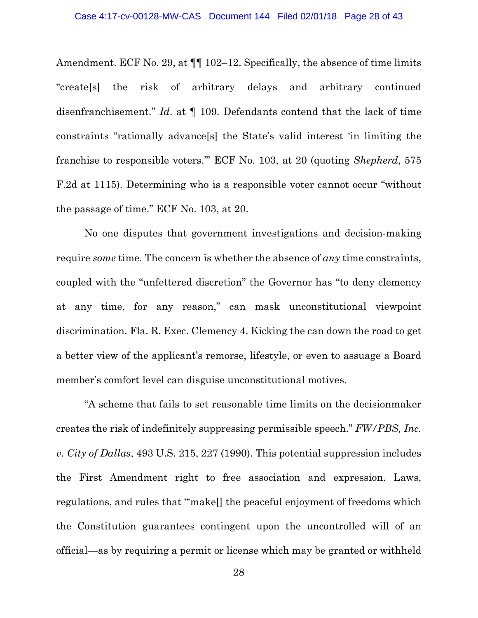Amendment. ECF No. 29, at  $\P$  102–12. Specifically, the absence of time limits "create[s] the risk of arbitrary delays and arbitrary continued disenfranchisement." *Id*. at ¶ 109. Defendants contend that the lack of time constraints "rationally advance[s] the State's valid interest 'in limiting the franchise to responsible voters.'" ECF No. 103, at 20 (quoting *Shepherd*, 575 F.2d at 1115). Determining who is a responsible voter cannot occur "without the passage of time." ECF No. 103, at 20.

No one disputes that government investigations and decision-making require *some* time. The concern is whether the absence of *any* time constraints, coupled with the "unfettered discretion" the Governor has "to deny clemency at any time, for any reason," can mask unconstitutional viewpoint discrimination. Fla. R. Exec. Clemency 4. Kicking the can down the road to get a better view of the applicant's remorse, lifestyle, or even to assuage a Board member's comfort level can disguise unconstitutional motives.

"A scheme that fails to set reasonable time limits on the decisionmaker creates the risk of indefinitely suppressing permissible speech." *FW/PBS, Inc. v. City of Dallas*, 493 U.S. 215, 227 (1990). This potential suppression includes the First Amendment right to free association and expression. Laws, regulations, and rules that "'make[] the peaceful enjoyment of freedoms which the Constitution guarantees contingent upon the uncontrolled will of an official—as by requiring a permit or license which may be granted or withheld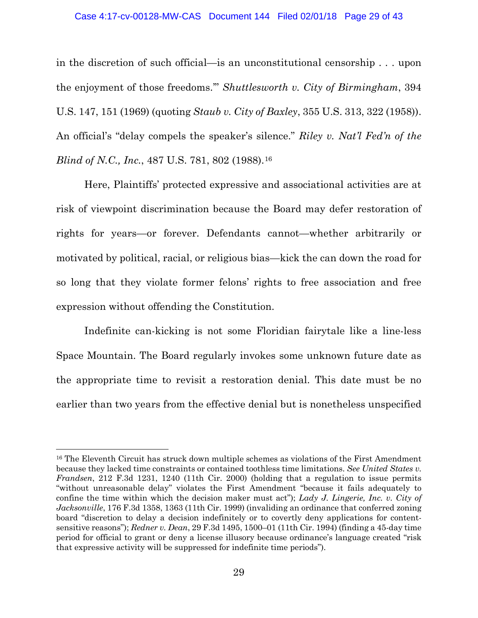in the discretion of such official—is an unconstitutional censorship . . . upon the enjoyment of those freedoms.'" *Shuttlesworth v. City of Birmingham*, 394 U.S. 147, 151 (1969) (quoting *Staub v. City of Baxley*, 355 U.S. 313, 322 (1958)). An official's "delay compels the speaker's silence." *Riley v. Nat'l Fed'n of the Blind of N.C., Inc., 487 U.S. 781, 802 (1988).*<sup>[16](#page-28-0)</sup>

Here, Plaintiffs' protected expressive and associational activities are at risk of viewpoint discrimination because the Board may defer restoration of rights for years—or forever. Defendants cannot—whether arbitrarily or motivated by political, racial, or religious bias—kick the can down the road for so long that they violate former felons' rights to free association and free expression without offending the Constitution.

Indefinite can-kicking is not some Floridian fairytale like a line-less Space Mountain. The Board regularly invokes some unknown future date as the appropriate time to revisit a restoration denial. This date must be no earlier than two years from the effective denial but is nonetheless unspecified

<span id="page-28-0"></span><sup>16</sup> The Eleventh Circuit has struck down multiple schemes as violations of the First Amendment because they lacked time constraints or contained toothless time limitations. *See United States v. Frandsen*, 212 F.3d 1231, 1240 (11th Cir. 2000) (holding that a regulation to issue permits "without unreasonable delay" violates the First Amendment "because it fails adequately to confine the time within which the decision maker must act"); *Lady J. Lingerie, Inc. v. City of Jacksonville*, 176 F.3d 1358, 1363 (11th Cir. 1999) (invaliding an ordinance that conferred zoning board "discretion to delay a decision indefinitely or to covertly deny applications for contentsensitive reasons"); *Redner v. Dean*, 29 F.3d 1495, 1500–01 (11th Cir. 1994) (finding a 45-day time period for official to grant or deny a license illusory because ordinance's language created "risk that expressive activity will be suppressed for indefinite time periods").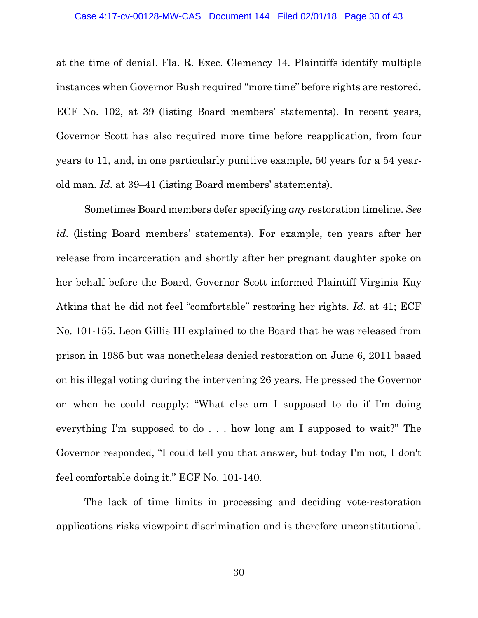at the time of denial. Fla. R. Exec. Clemency 14. Plaintiffs identify multiple instances when Governor Bush required "more time" before rights are restored. ECF No. 102, at 39 (listing Board members' statements). In recent years, Governor Scott has also required more time before reapplication, from four years to 11, and, in one particularly punitive example, 50 years for a 54 yearold man. *Id*. at 39–41 (listing Board members' statements).

Sometimes Board members defer specifying *any* restoration timeline. *See id*. (listing Board members' statements). For example, ten years after her release from incarceration and shortly after her pregnant daughter spoke on her behalf before the Board, Governor Scott informed Plaintiff Virginia Kay Atkins that he did not feel "comfortable" restoring her rights. *Id*. at 41; ECF No. 101-155. Leon Gillis III explained to the Board that he was released from prison in 1985 but was nonetheless denied restoration on June 6, 2011 based on his illegal voting during the intervening 26 years. He pressed the Governor on when he could reapply: "What else am I supposed to do if I'm doing everything I'm supposed to do . . . how long am I supposed to wait?" The Governor responded, "I could tell you that answer, but today I'm not, I don't feel comfortable doing it." ECF No. 101-140.

The lack of time limits in processing and deciding vote-restoration applications risks viewpoint discrimination and is therefore unconstitutional.

30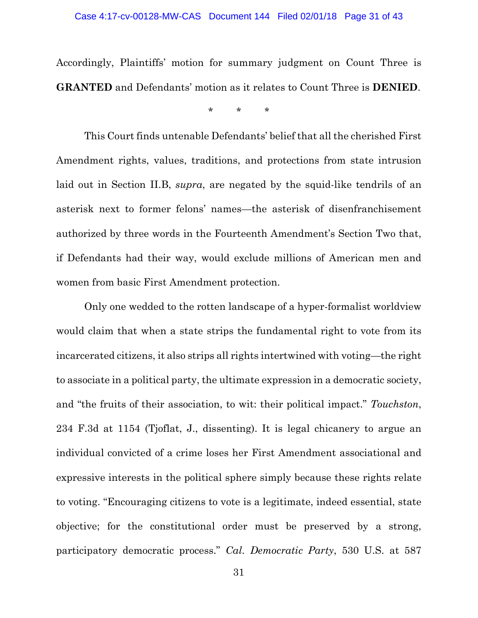# Case 4:17-cv-00128-MW-CAS Document 144 Filed 02/01/18 Page 31 of 43

Accordingly, Plaintiffs' motion for summary judgment on Count Three is **GRANTED** and Defendants' motion as it relates to Count Three is **DENIED**.

\* \* \*

This Court finds untenable Defendants' belief that all the cherished First Amendment rights, values, traditions, and protections from state intrusion laid out in Section II.B, *supra*, are negated by the squid-like tendrils of an asterisk next to former felons' names—the asterisk of disenfranchisement authorized by three words in the Fourteenth Amendment's Section Two that, if Defendants had their way, would exclude millions of American men and women from basic First Amendment protection.

Only one wedded to the rotten landscape of a hyper-formalist worldview would claim that when a state strips the fundamental right to vote from its incarcerated citizens, it also strips all rights intertwined with voting—the right to associate in a political party, the ultimate expression in a democratic society, and "the fruits of their association, to wit: their political impact." *Touchston*, 234 F.3d at 1154 (Tjoflat, J., dissenting). It is legal chicanery to argue an individual convicted of a crime loses her First Amendment associational and expressive interests in the political sphere simply because these rights relate to voting. "Encouraging citizens to vote is a legitimate, indeed essential, state objective; for the constitutional order must be preserved by a strong, participatory democratic process." *Cal. Democratic Party*, 530 U.S. at 587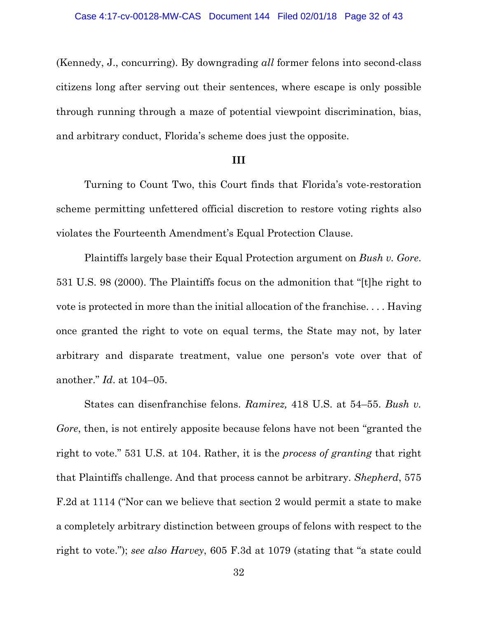(Kennedy, J., concurring). By downgrading *all* former felons into second-class citizens long after serving out their sentences, where escape is only possible through running through a maze of potential viewpoint discrimination, bias, and arbitrary conduct, Florida's scheme does just the opposite.

# **III**

Turning to Count Two, this Court finds that Florida's vote-restoration scheme permitting unfettered official discretion to restore voting rights also violates the Fourteenth Amendment's Equal Protection Clause.

Plaintiffs largely base their Equal Protection argument on *Bush v. Gore*. 531 U.S. 98 (2000). The Plaintiffs focus on the admonition that "[t]he right to vote is protected in more than the initial allocation of the franchise. . . . Having once granted the right to vote on equal terms, the State may not, by later arbitrary and disparate treatment, value one person's vote over that of another." *Id*. at 104–05.

States can disenfranchise felons. *Ramirez,* 418 U.S. at 54–55. *Bush v. Gore*, then, is not entirely apposite because felons have not been "granted the right to vote." 531 U.S. at 104. Rather, it is the *process of granting* that right that Plaintiffs challenge. And that process cannot be arbitrary. *Shepherd*, 575 F.2d at 1114 ("Nor can we believe that section 2 would permit a state to make a completely arbitrary distinction between groups of felons with respect to the right to vote."); *see also Harvey*, 605 F.3d at 1079 (stating that "a state could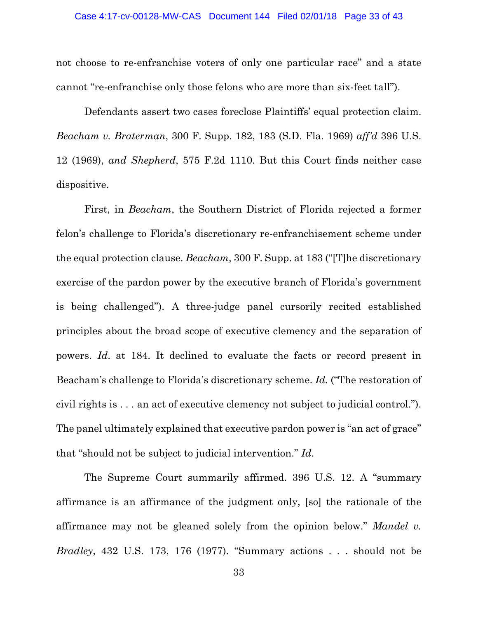#### Case 4:17-cv-00128-MW-CAS Document 144 Filed 02/01/18 Page 33 of 43

not choose to re-enfranchise voters of only one particular race" and a state cannot "re-enfranchise only those felons who are more than six-feet tall").

Defendants assert two cases foreclose Plaintiffs' equal protection claim. *Beacham v. Braterman*, 300 F. Supp. 182, 183 (S.D. Fla. 1969) *aff'd* 396 U.S. 12 (1969), *and Shepherd*, 575 F.2d 1110. But this Court finds neither case dispositive.

First, in *Beacham*, the Southern District of Florida rejected a former felon's challenge to Florida's discretionary re-enfranchisement scheme under the equal protection clause. *Beacham*, 300 F. Supp. at 183 ("[T]he discretionary exercise of the pardon power by the executive branch of Florida's government is being challenged"). A three-judge panel cursorily recited established principles about the broad scope of executive clemency and the separation of powers. *Id*. at 184. It declined to evaluate the facts or record present in Beacham's challenge to Florida's discretionary scheme. *Id.* ("The restoration of civil rights is . . . an act of executive clemency not subject to judicial control."). The panel ultimately explained that executive pardon power is "an act of grace" that "should not be subject to judicial intervention." *Id*.

The Supreme Court summarily affirmed. 396 U.S. 12. A "summary affirmance is an affirmance of the judgment only, [so] the rationale of the affirmance may not be gleaned solely from the opinion below." *Mandel v. Bradley*, 432 U.S. 173, 176 (1977). "Summary actions . . . should not be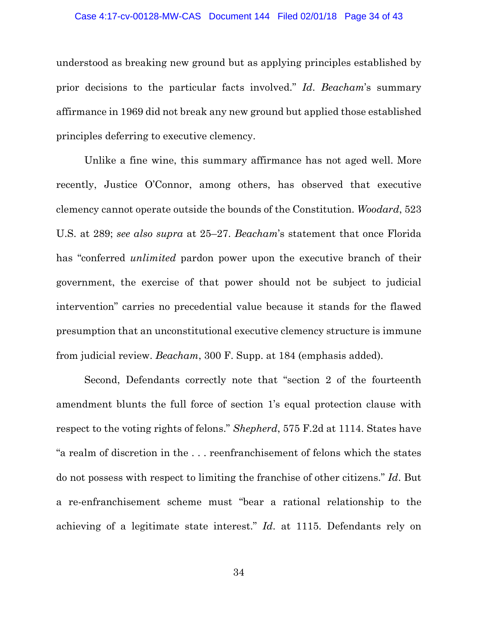#### Case 4:17-cv-00128-MW-CAS Document 144 Filed 02/01/18 Page 34 of 43

understood as breaking new ground but as applying principles established by prior decisions to the particular facts involved." *Id*. *Beacham*'s summary affirmance in 1969 did not break any new ground but applied those established principles deferring to executive clemency.

Unlike a fine wine, this summary affirmance has not aged well. More recently, Justice O'Connor, among others, has observed that executive clemency cannot operate outside the bounds of the Constitution. *Woodard*, 523 U.S. at 289; *see also supra* at 25–27. *Beacham*'s statement that once Florida has "conferred *unlimited* pardon power upon the executive branch of their government, the exercise of that power should not be subject to judicial intervention" carries no precedential value because it stands for the flawed presumption that an unconstitutional executive clemency structure is immune from judicial review. *Beacham*, 300 F. Supp. at 184 (emphasis added).

Second, Defendants correctly note that "section 2 of the fourteenth amendment blunts the full force of section 1's equal protection clause with respect to the voting rights of felons." *Shepherd*, 575 F.2d at 1114. States have "a realm of discretion in the . . . reenfranchisement of felons which the states do not possess with respect to limiting the franchise of other citizens." *Id*. But a re-enfranchisement scheme must "bear a rational relationship to the achieving of a legitimate state interest." *Id*. at 1115. Defendants rely on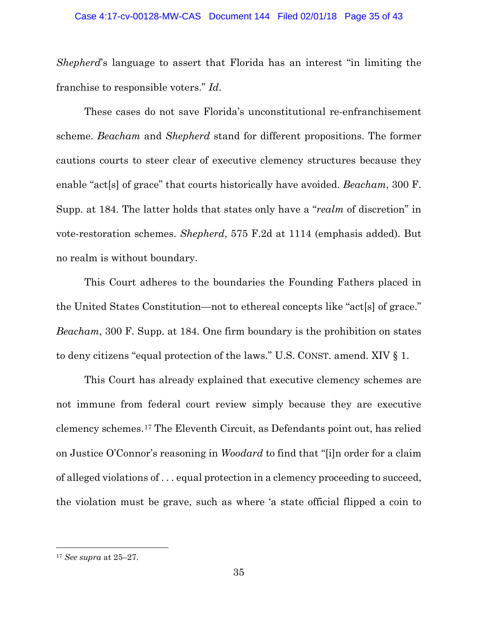### Case 4:17-cv-00128-MW-CAS Document 144 Filed 02/01/18 Page 35 of 43

*Shepherd*'s language to assert that Florida has an interest "in limiting the franchise to responsible voters." *Id*.

These cases do not save Florida's unconstitutional re-enfranchisement scheme. *Beacham* and *Shepherd* stand for different propositions. The former cautions courts to steer clear of executive clemency structures because they enable "act[s] of grace" that courts historically have avoided. *Beacham*, 300 F. Supp. at 184. The latter holds that states only have a "*realm* of discretion" in vote-restoration schemes. *Shepherd*, 575 F.2d at 1114 (emphasis added). But no realm is without boundary.

This Court adheres to the boundaries the Founding Fathers placed in the United States Constitution—not to ethereal concepts like "act[s] of grace." *Beacham*, 300 F. Supp. at 184. One firm boundary is the prohibition on states to deny citizens "equal protection of the laws." U.S. CONST. amend. XIV § 1.

This Court has already explained that executive clemency schemes are not immune from federal court review simply because they are executive clemency schemes.[17](#page-34-0) The Eleventh Circuit, as Defendants point out, has relied on Justice O'Connor's reasoning in *Woodard* to find that "[i]n order for a claim of alleged violations of . . . equal protection in a clemency proceeding to succeed, the violation must be grave, such as where 'a state official flipped a coin to

<span id="page-34-0"></span><sup>17</sup> *See supra* at 25–27.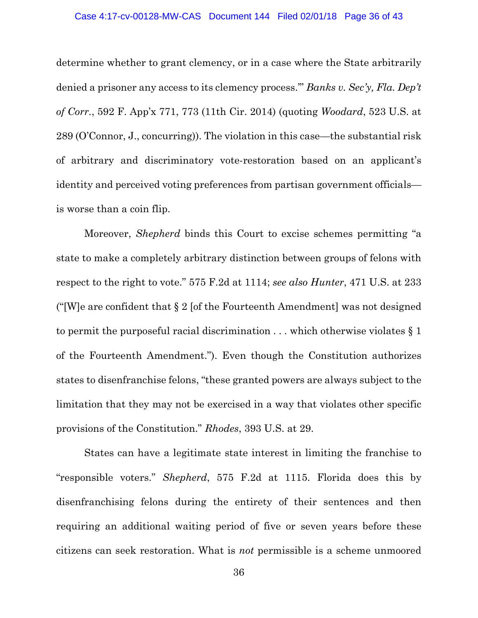#### Case 4:17-cv-00128-MW-CAS Document 144 Filed 02/01/18 Page 36 of 43

determine whether to grant clemency, or in a case where the State arbitrarily denied a prisoner any access to its clemency process.'" *Banks v. Sec'y, Fla. Dep't of Corr.*, 592 F. App'x 771, 773 (11th Cir. 2014) (quoting *Woodard*, 523 U.S. at 289 (O'Connor, J., concurring)). The violation in this case—the substantial risk of arbitrary and discriminatory vote-restoration based on an applicant's identity and perceived voting preferences from partisan government officials is worse than a coin flip.

Moreover, *Shepherd* binds this Court to excise schemes permitting "a state to make a completely arbitrary distinction between groups of felons with respect to the right to vote." 575 F.2d at 1114; *see also Hunter*, 471 U.S. at 233 ("[W]e are confident that § 2 [of the Fourteenth Amendment] was not designed to permit the purposeful racial discrimination  $\dots$  which otherwise violates § 1 of the Fourteenth Amendment."). Even though the Constitution authorizes states to disenfranchise felons, "these granted powers are always subject to the limitation that they may not be exercised in a way that violates other specific provisions of the Constitution." *Rhodes*, 393 U.S. at 29.

States can have a legitimate state interest in limiting the franchise to "responsible voters." *Shepherd*, 575 F.2d at 1115. Florida does this by disenfranchising felons during the entirety of their sentences and then requiring an additional waiting period of five or seven years before these citizens can seek restoration. What is *not* permissible is a scheme unmoored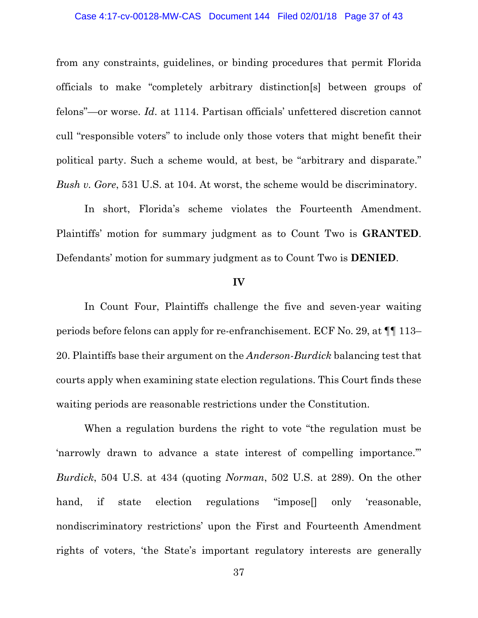#### Case 4:17-cv-00128-MW-CAS Document 144 Filed 02/01/18 Page 37 of 43

from any constraints, guidelines, or binding procedures that permit Florida officials to make "completely arbitrary distinction[s] between groups of felons"—or worse. *Id*. at 1114. Partisan officials' unfettered discretion cannot cull "responsible voters" to include only those voters that might benefit their political party. Such a scheme would, at best, be "arbitrary and disparate." *Bush v. Gore*, 531 U.S. at 104. At worst, the scheme would be discriminatory.

In short, Florida's scheme violates the Fourteenth Amendment. Plaintiffs' motion for summary judgment as to Count Two is **GRANTED**. Defendants' motion for summary judgment as to Count Two is **DENIED**.

#### **IV**

In Count Four, Plaintiffs challenge the five and seven-year waiting periods before felons can apply for re-enfranchisement. ECF No. 29, at ¶¶ 113– 20. Plaintiffs base their argument on the *Anderson-Burdick* balancing test that courts apply when examining state election regulations. This Court finds these waiting periods are reasonable restrictions under the Constitution.

When a regulation burdens the right to vote "the regulation must be 'narrowly drawn to advance a state interest of compelling importance.'" *Burdick*, 504 U.S. at 434 (quoting *Norman*, 502 U.S. at 289). On the other hand, if state election regulations "impose<sup>[]</sup> only 'reasonable, nondiscriminatory restrictions' upon the First and Fourteenth Amendment rights of voters, 'the State's important regulatory interests are generally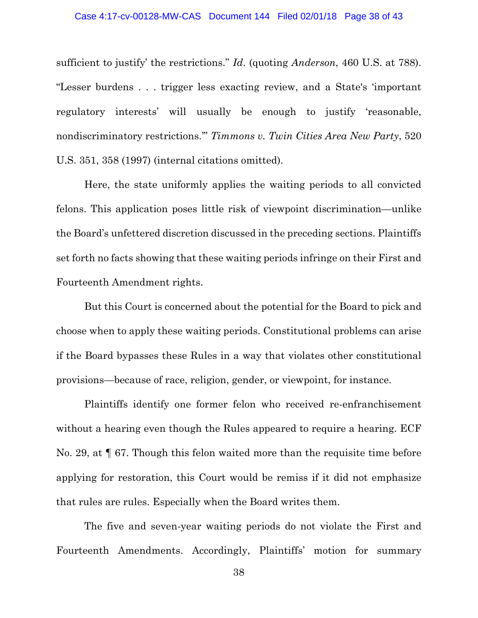#### Case 4:17-cv-00128-MW-CAS Document 144 Filed 02/01/18 Page 38 of 43

sufficient to justify' the restrictions." *Id*. (quoting *Anderson*, 460 U.S. at 788). "Lesser burdens . . . trigger less exacting review, and a State's 'important regulatory interests' will usually be enough to justify 'reasonable, nondiscriminatory restrictions.'" *Timmons v. Twin Cities Area New Party*, 520 U.S. 351, 358 (1997) (internal citations omitted).

Here, the state uniformly applies the waiting periods to all convicted felons. This application poses little risk of viewpoint discrimination—unlike the Board's unfettered discretion discussed in the preceding sections. Plaintiffs set forth no facts showing that these waiting periods infringe on their First and Fourteenth Amendment rights.

But this Court is concerned about the potential for the Board to pick and choose when to apply these waiting periods. Constitutional problems can arise if the Board bypasses these Rules in a way that violates other constitutional provisions—because of race, religion, gender, or viewpoint, for instance.

Plaintiffs identify one former felon who received re-enfranchisement without a hearing even though the Rules appeared to require a hearing. ECF No. 29, at ¶ 67. Though this felon waited more than the requisite time before applying for restoration, this Court would be remiss if it did not emphasize that rules are rules. Especially when the Board writes them.

The five and seven-year waiting periods do not violate the First and Fourteenth Amendments. Accordingly, Plaintiffs' motion for summary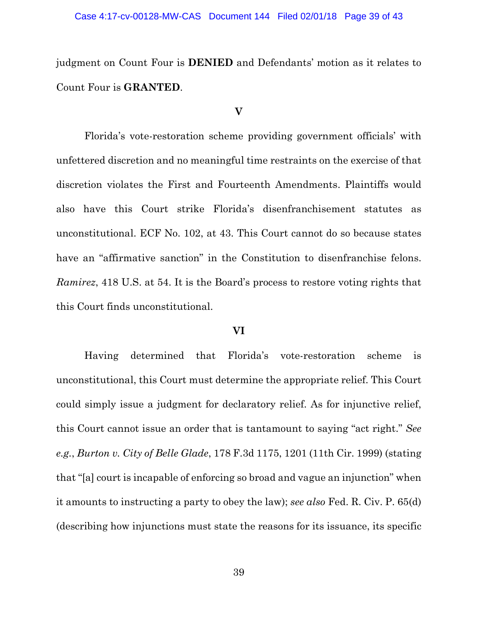judgment on Count Four is **DENIED** and Defendants' motion as it relates to Count Four is **GRANTED**.

### **V**

Florida's vote-restoration scheme providing government officials' with unfettered discretion and no meaningful time restraints on the exercise of that discretion violates the First and Fourteenth Amendments. Plaintiffs would also have this Court strike Florida's disenfranchisement statutes as unconstitutional. ECF No. 102, at 43. This Court cannot do so because states have an "affirmative sanction" in the Constitution to disenfranchise felons. *Ramirez*, 418 U.S. at 54. It is the Board's process to restore voting rights that this Court finds unconstitutional.

# **VI**

Having determined that Florida's vote-restoration scheme is unconstitutional, this Court must determine the appropriate relief. This Court could simply issue a judgment for declaratory relief. As for injunctive relief, this Court cannot issue an order that is tantamount to saying "act right." *See e.g.*, *Burton v. City of Belle Glade*, 178 F.3d 1175, 1201 (11th Cir. 1999) (stating that "[a] court is incapable of enforcing so broad and vague an injunction" when it amounts to instructing a party to obey the law); *see also* Fed. R. Civ. P. 65(d) (describing how injunctions must state the reasons for its issuance, its specific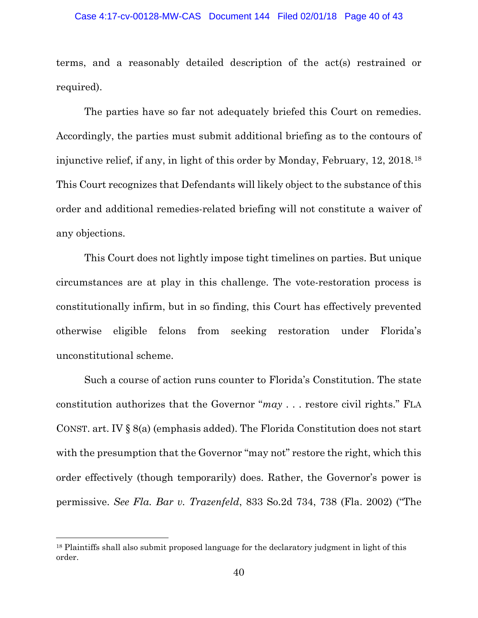#### Case 4:17-cv-00128-MW-CAS Document 144 Filed 02/01/18 Page 40 of 43

terms, and a reasonably detailed description of the act(s) restrained or required).

The parties have so far not adequately briefed this Court on remedies. Accordingly, the parties must submit additional briefing as to the contours of injunctive relief, if any, in light of this order by Monday, February, 12, 2018.[18](#page-39-0) This Court recognizes that Defendants will likely object to the substance of this order and additional remedies-related briefing will not constitute a waiver of any objections.

This Court does not lightly impose tight timelines on parties. But unique circumstances are at play in this challenge. The vote-restoration process is constitutionally infirm, but in so finding, this Court has effectively prevented otherwise eligible felons from seeking restoration under Florida's unconstitutional scheme.

Such a course of action runs counter to Florida's Constitution. The state constitution authorizes that the Governor "*may* . . . restore civil rights." FLA CONST. art. IV § 8(a) (emphasis added). The Florida Constitution does not start with the presumption that the Governor "may not" restore the right, which this order effectively (though temporarily) does. Rather, the Governor's power is permissive. *See Fla. Bar v. Trazenfeld*, 833 So.2d 734, 738 (Fla. 2002) ("The

<span id="page-39-0"></span><sup>&</sup>lt;sup>18</sup> Plaintiffs shall also submit proposed language for the declaratory judgment in light of this order.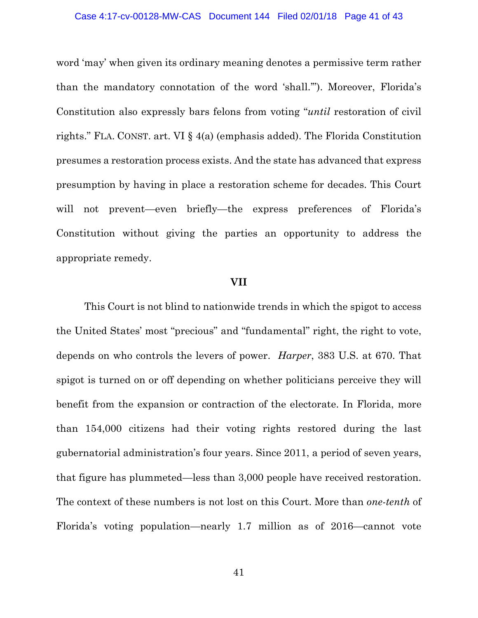#### Case 4:17-cv-00128-MW-CAS Document 144 Filed 02/01/18 Page 41 of 43

word 'may' when given its ordinary meaning denotes a permissive term rather than the mandatory connotation of the word 'shall.'"). Moreover, Florida's Constitution also expressly bars felons from voting "*until* restoration of civil rights." FLA. CONST. art. VI § 4(a) (emphasis added). The Florida Constitution presumes a restoration process exists. And the state has advanced that express presumption by having in place a restoration scheme for decades. This Court will not prevent—even briefly—the express preferences of Florida's Constitution without giving the parties an opportunity to address the appropriate remedy.

#### **VII**

This Court is not blind to nationwide trends in which the spigot to access the United States' most "precious" and "fundamental" right, the right to vote, depends on who controls the levers of power. *Harper*, 383 U.S. at 670. That spigot is turned on or off depending on whether politicians perceive they will benefit from the expansion or contraction of the electorate. In Florida, more than 154,000 citizens had their voting rights restored during the last gubernatorial administration's four years. Since 2011, a period of seven years, that figure has plummeted—less than 3,000 people have received restoration. The context of these numbers is not lost on this Court. More than *one-tenth* of Florida's voting population—nearly 1.7 million as of 2016—cannot vote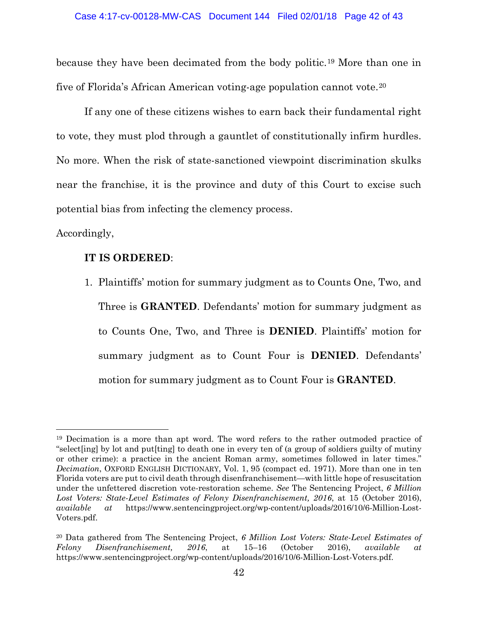because they have been decimated from the body politic.[19](#page-41-0) More than one in five of Florida's African American voting-age population cannot vote.[20](#page-41-1)

If any one of these citizens wishes to earn back their fundamental right to vote, they must plod through a gauntlet of constitutionally infirm hurdles. No more. When the risk of state-sanctioned viewpoint discrimination skulks near the franchise, it is the province and duty of this Court to excise such potential bias from infecting the clemency process.

Accordingly,

l

# **IT IS ORDERED**:

1. Plaintiffs' motion for summary judgment as to Counts One, Two, and Three is **GRANTED**. Defendants' motion for summary judgment as to Counts One, Two, and Three is **DENIED**. Plaintiffs' motion for summary judgment as to Count Four is **DENIED**. Defendants' motion for summary judgment as to Count Four is **GRANTED**.

<span id="page-41-0"></span><sup>19</sup> Decimation is a more than apt word. The word refers to the rather outmoded practice of "select[ing] by lot and put[ting] to death one in every ten of (a group of soldiers guilty of mutiny or other crime): a practice in the ancient Roman army, sometimes followed in later times." *Decimation*, OXFORD ENGLISH DICTIONARY, Vol. 1, 95 (compact ed. 1971). More than one in ten Florida voters are put to civil death through disenfranchisement—with little hope of resuscitation under the unfettered discretion vote-restoration scheme. *See* The Sentencing Project, *6 Million Lost Voters: State-Level Estimates of Felony Disenfranchisement, 2016*, at 15 (October 2016), *available at* https://www.sentencingproject.org/wp-content/uploads/2016/10/6-Million-Lost-Voters.pdf.

<span id="page-41-1"></span><sup>20</sup> Data gathered from The Sentencing Project, *6 Million Lost Voters: State-Level Estimates of Felony Disenfranchisement, 2016*, at 15–16 (October 2016), *available at* https://www.sentencingproject.org/wp-content/uploads/2016/10/6-Million-Lost-Voters.pdf.